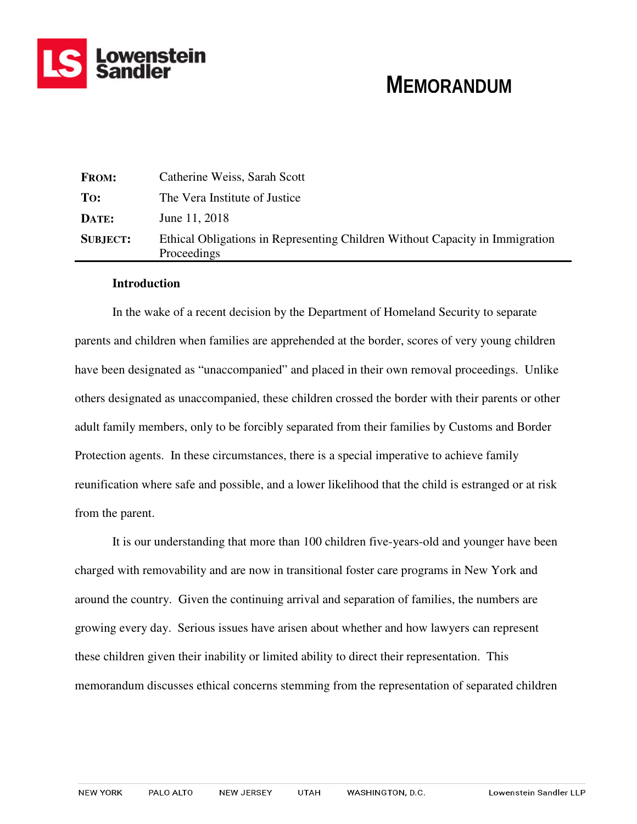

# **MEMORANDUM**

| <b>FROM:</b>    | Catherine Weiss, Sarah Scott                                                                |
|-----------------|---------------------------------------------------------------------------------------------|
| To:             | The Vera Institute of Justice                                                               |
| DATE:           | June 11, 2018                                                                               |
| <b>SUBJECT:</b> | Ethical Obligations in Representing Children Without Capacity in Immigration<br>Proceedings |

## **Introduction**

In the wake of a recent decision by the Department of Homeland Security to separate parents and children when families are apprehended at the border, scores of very young children have been designated as "unaccompanied" and placed in their own removal proceedings. Unlike others designated as unaccompanied, these children crossed the border with their parents or other adult family members, only to be forcibly separated from their families by Customs and Border Protection agents. In these circumstances, there is a special imperative to achieve family reunification where safe and possible, and a lower likelihood that the child is estranged or at risk from the parent.

It is our understanding that more than 100 children five-years-old and younger have been charged with removability and are now in transitional foster care programs in New York and around the country. Given the continuing arrival and separation of families, the numbers are growing every day. Serious issues have arisen about whether and how lawyers can represent these children given their inability or limited ability to direct their representation. This memorandum discusses ethical concerns stemming from the representation of separated children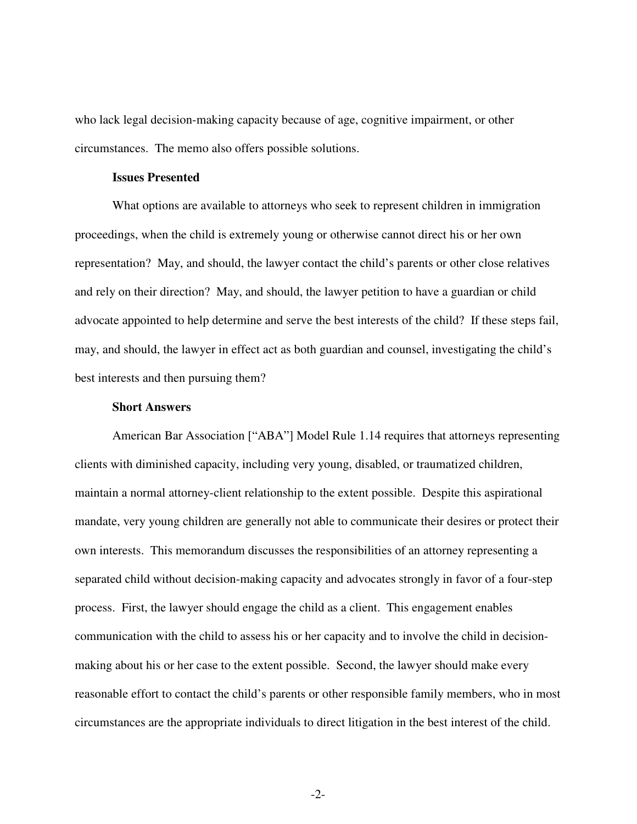who lack legal decision-making capacity because of age, cognitive impairment, or other circumstances. The memo also offers possible solutions.

#### **Issues Presented**

What options are available to attorneys who seek to represent children in immigration proceedings, when the child is extremely young or otherwise cannot direct his or her own representation? May, and should, the lawyer contact the child's parents or other close relatives and rely on their direction? May, and should, the lawyer petition to have a guardian or child advocate appointed to help determine and serve the best interests of the child? If these steps fail, may, and should, the lawyer in effect act as both guardian and counsel, investigating the child's best interests and then pursuing them?

## **Short Answers**

American Bar Association ["ABA"] Model Rule 1.14 requires that attorneys representing clients with diminished capacity, including very young, disabled, or traumatized children, maintain a normal attorney-client relationship to the extent possible. Despite this aspirational mandate, very young children are generally not able to communicate their desires or protect their own interests. This memorandum discusses the responsibilities of an attorney representing a separated child without decision-making capacity and advocates strongly in favor of a four-step process. First, the lawyer should engage the child as a client. This engagement enables communication with the child to assess his or her capacity and to involve the child in decisionmaking about his or her case to the extent possible. Second, the lawyer should make every reasonable effort to contact the child's parents or other responsible family members, who in most circumstances are the appropriate individuals to direct litigation in the best interest of the child.

-2-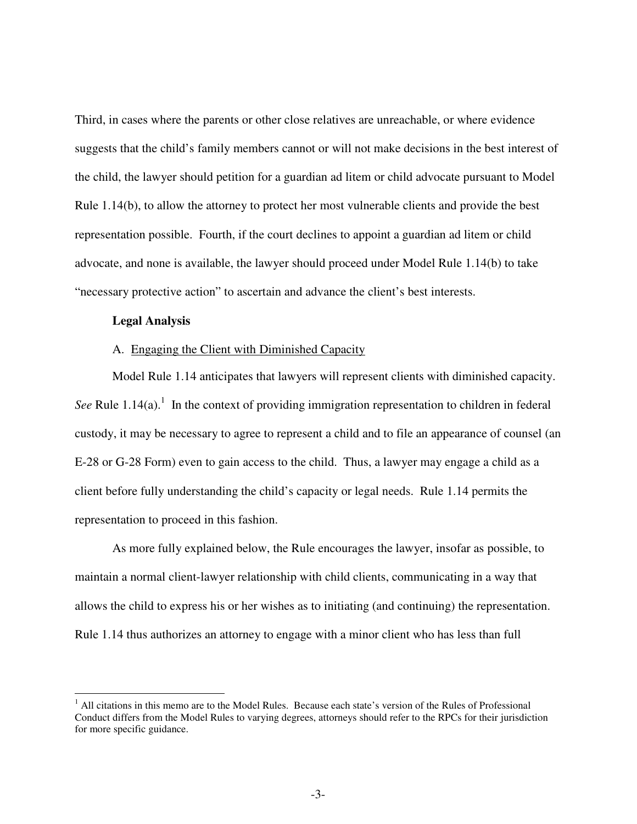Third, in cases where the parents or other close relatives are unreachable, or where evidence suggests that the child's family members cannot or will not make decisions in the best interest of the child, the lawyer should petition for a guardian ad litem or child advocate pursuant to Model Rule 1.14(b), to allow the attorney to protect her most vulnerable clients and provide the best representation possible. Fourth, if the court declines to appoint a guardian ad litem or child advocate, and none is available, the lawyer should proceed under Model Rule 1.14(b) to take "necessary protective action" to ascertain and advance the client's best interests.

## **Legal Analysis**

-

## A. Engaging the Client with Diminished Capacity

Model Rule 1.14 anticipates that lawyers will represent clients with diminished capacity. See Rule 1.14(a).<sup>1</sup> In the context of providing immigration representation to children in federal custody, it may be necessary to agree to represent a child and to file an appearance of counsel (an E-28 or G-28 Form) even to gain access to the child. Thus, a lawyer may engage a child as a client before fully understanding the child's capacity or legal needs. Rule 1.14 permits the representation to proceed in this fashion.

As more fully explained below, the Rule encourages the lawyer, insofar as possible, to maintain a normal client-lawyer relationship with child clients, communicating in a way that allows the child to express his or her wishes as to initiating (and continuing) the representation. Rule 1.14 thus authorizes an attorney to engage with a minor client who has less than full

<sup>&</sup>lt;sup>1</sup> All citations in this memo are to the Model Rules. Because each state's version of the Rules of Professional Conduct differs from the Model Rules to varying degrees, attorneys should refer to the RPCs for their jurisdiction for more specific guidance.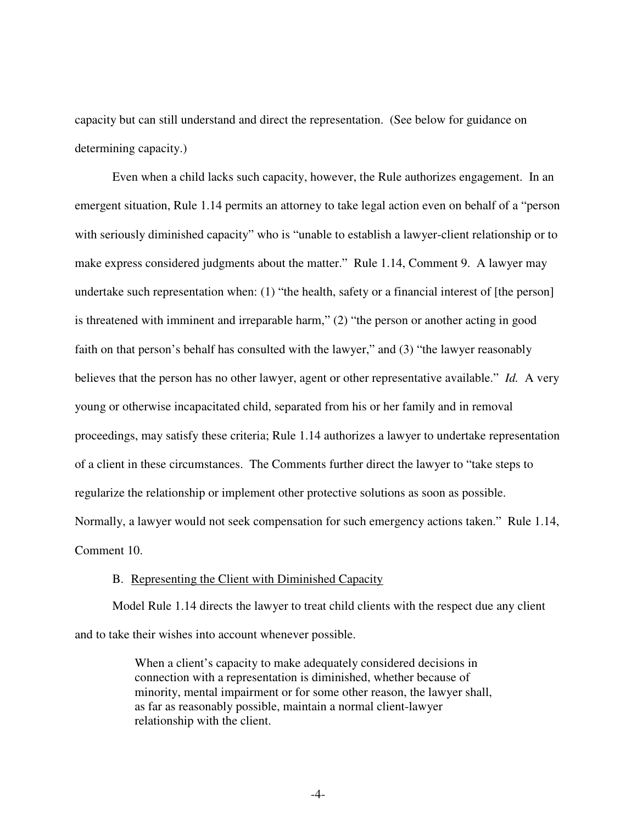capacity but can still understand and direct the representation. (See below for guidance on determining capacity.)

Even when a child lacks such capacity, however, the Rule authorizes engagement. In an emergent situation, Rule 1.14 permits an attorney to take legal action even on behalf of a "person with seriously diminished capacity" who is "unable to establish a lawyer-client relationship or to make express considered judgments about the matter." Rule 1.14, Comment 9. A lawyer may undertake such representation when: (1) "the health, safety or a financial interest of [the person] is threatened with imminent and irreparable harm," (2) "the person or another acting in good faith on that person's behalf has consulted with the lawyer," and (3) "the lawyer reasonably believes that the person has no other lawyer, agent or other representative available." *Id.* A very young or otherwise incapacitated child, separated from his or her family and in removal proceedings, may satisfy these criteria; Rule 1.14 authorizes a lawyer to undertake representation of a client in these circumstances. The Comments further direct the lawyer to "take steps to regularize the relationship or implement other protective solutions as soon as possible. Normally, a lawyer would not seek compensation for such emergency actions taken." Rule 1.14, Comment 10.

## B. Representing the Client with Diminished Capacity

Model Rule 1.14 directs the lawyer to treat child clients with the respect due any client and to take their wishes into account whenever possible.

> When a client's capacity to make adequately considered decisions in connection with a representation is diminished, whether because of minority, mental impairment or for some other reason, the lawyer shall, as far as reasonably possible, maintain a normal client-lawyer relationship with the client.

> > -4-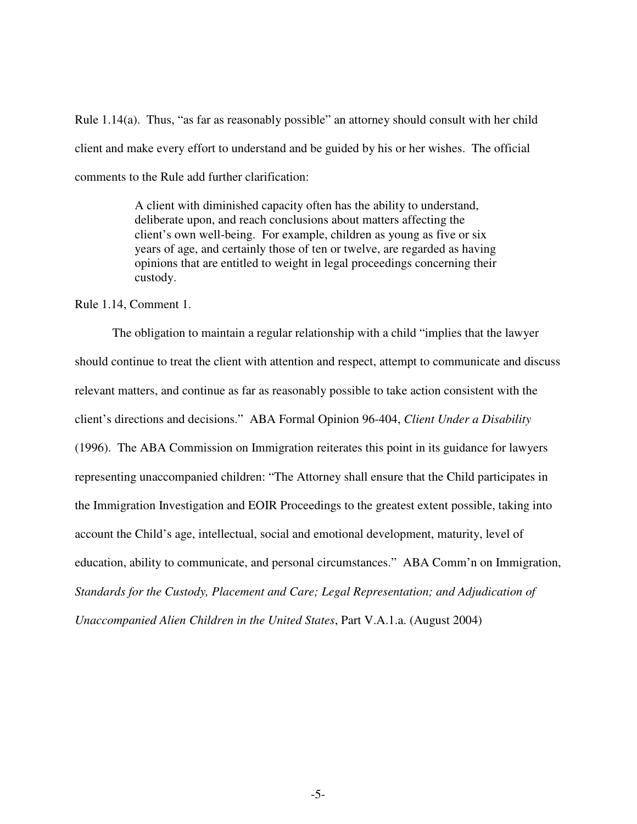Rule 1.14(a). Thus, "as far as reasonably possible" an attorney should consult with her child client and make every effort to understand and be guided by his or her wishes. The official comments to the Rule add further clarification:

> A client with diminished capacity often has the ability to understand, deliberate upon, and reach conclusions about matters affecting the client's own well-being. For example, children as young as five or six years of age, and certainly those of ten or twelve, are regarded as having opinions that are entitled to weight in legal proceedings concerning their custody.

Rule 1.14, Comment 1.

 The obligation to maintain a regular relationship with a child "implies that the lawyer should continue to treat the client with attention and respect, attempt to communicate and discuss relevant matters, and continue as far as reasonably possible to take action consistent with the client's directions and decisions." ABA Formal Opinion 96-404, *Client Under a Disability* (1996). The ABA Commission on Immigration reiterates this point in its guidance for lawyers representing unaccompanied children: "The Attorney shall ensure that the Child participates in the Immigration Investigation and EOIR Proceedings to the greatest extent possible, taking into account the Child's age, intellectual, social and emotional development, maturity, level of education, ability to communicate, and personal circumstances." ABA Comm'n on Immigration, *Standards for the Custody, Placement and Care; Legal Representation; and Adjudication of Unaccompanied Alien Children in the United States*, Part V.A.1.a. (August 2004)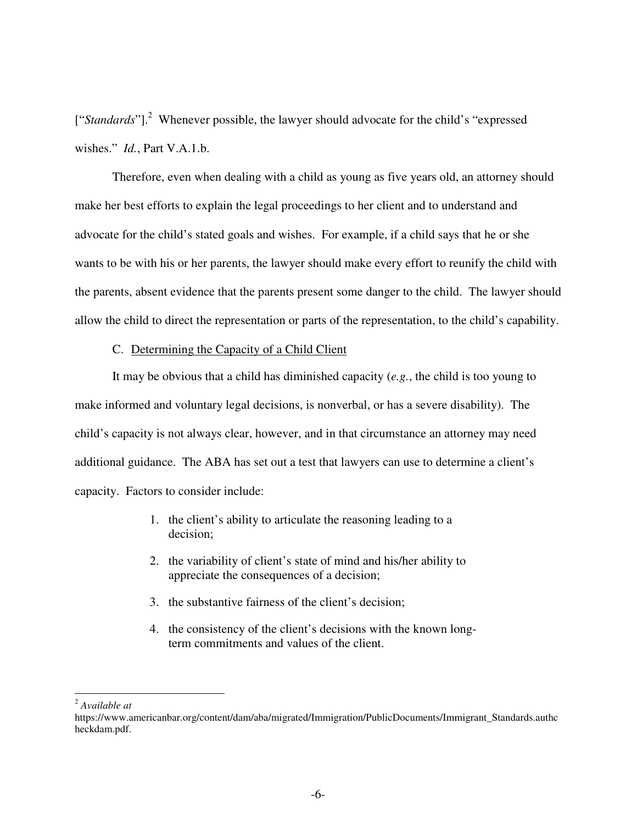["Standards"].<sup>2</sup> Whenever possible, the lawyer should advocate for the child's "expressed wishes." *Id.*, Part V.A.1.b.

 Therefore, even when dealing with a child as young as five years old, an attorney should make her best efforts to explain the legal proceedings to her client and to understand and advocate for the child's stated goals and wishes. For example, if a child says that he or she wants to be with his or her parents, the lawyer should make every effort to reunify the child with the parents, absent evidence that the parents present some danger to the child. The lawyer should allow the child to direct the representation or parts of the representation, to the child's capability.

C. Determining the Capacity of a Child Client

It may be obvious that a child has diminished capacity (*e.g.*, the child is too young to make informed and voluntary legal decisions, is nonverbal, or has a severe disability). The child's capacity is not always clear, however, and in that circumstance an attorney may need additional guidance. The ABA has set out a test that lawyers can use to determine a client's capacity. Factors to consider include:

- 1. the client's ability to articulate the reasoning leading to a decision;
- 2. the variability of client's state of mind and his/her ability to appreciate the consequences of a decision;
- 3. the substantive fairness of the client's decision;
- 4. the consistency of the client's decisions with the known longterm commitments and values of the client.

<sup>-</sup><sup>2</sup> *Available at*

https://www.americanbar.org/content/dam/aba/migrated/Immigration/PublicDocuments/Immigrant\_Standards.authc heckdam.pdf.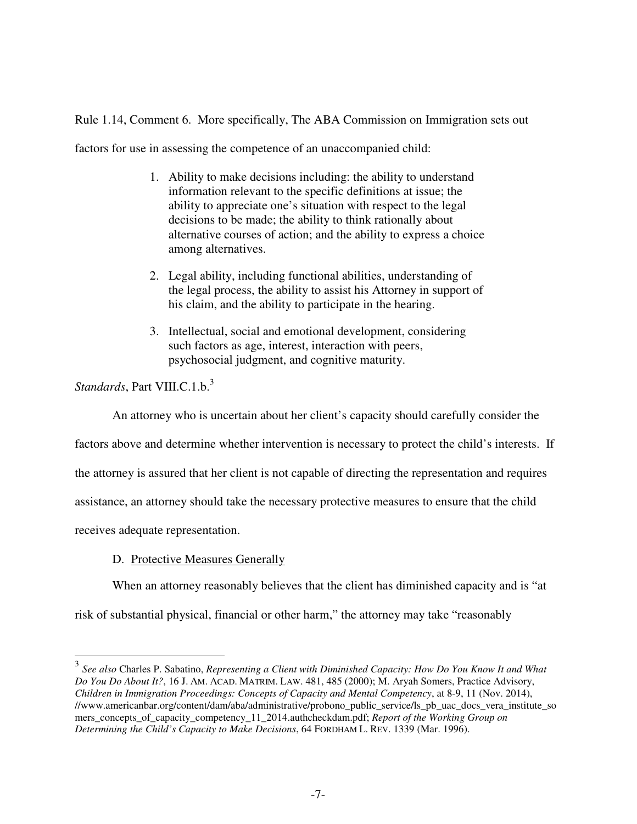Rule 1.14, Comment 6. More specifically, The ABA Commission on Immigration sets out

factors for use in assessing the competence of an unaccompanied child:

- 1. Ability to make decisions including: the ability to understand information relevant to the specific definitions at issue; the ability to appreciate one's situation with respect to the legal decisions to be made; the ability to think rationally about alternative courses of action; and the ability to express a choice among alternatives.
- 2. Legal ability, including functional abilities, understanding of the legal process, the ability to assist his Attorney in support of his claim, and the ability to participate in the hearing.
- 3. Intellectual, social and emotional development, considering such factors as age, interest, interaction with peers, psychosocial judgment, and cognitive maturity.

*Standards*, Part VIII.C.1.b.<sup>3</sup>

An attorney who is uncertain about her client's capacity should carefully consider the

factors above and determine whether intervention is necessary to protect the child's interests. If

the attorney is assured that her client is not capable of directing the representation and requires

assistance, an attorney should take the necessary protective measures to ensure that the child

receives adequate representation.

# D. Protective Measures Generally

When an attorney reasonably believes that the client has diminished capacity and is "at

risk of substantial physical, financial or other harm," the attorney may take "reasonably

 3 *See also* Charles P. Sabatino, *Representing a Client with Diminished Capacity: How Do You Know It and What Do You Do About It?*, 16 J. AM. ACAD. MATRIM. LAW. 481, 485 (2000); M. Aryah Somers, Practice Advisory, *Children in Immigration Proceedings: Concepts of Capacity and Mental Competency*, at 8-9, 11 (Nov. 2014), //www.americanbar.org/content/dam/aba/administrative/probono\_public\_service/ls\_pb\_uac\_docs\_vera\_institute\_so mers\_concepts\_of\_capacity\_competency\_11\_2014.authcheckdam.pdf; *Report of the Working Group on Determining the Child's Capacity to Make Decisions*, 64 FORDHAM L. REV. 1339 (Mar. 1996).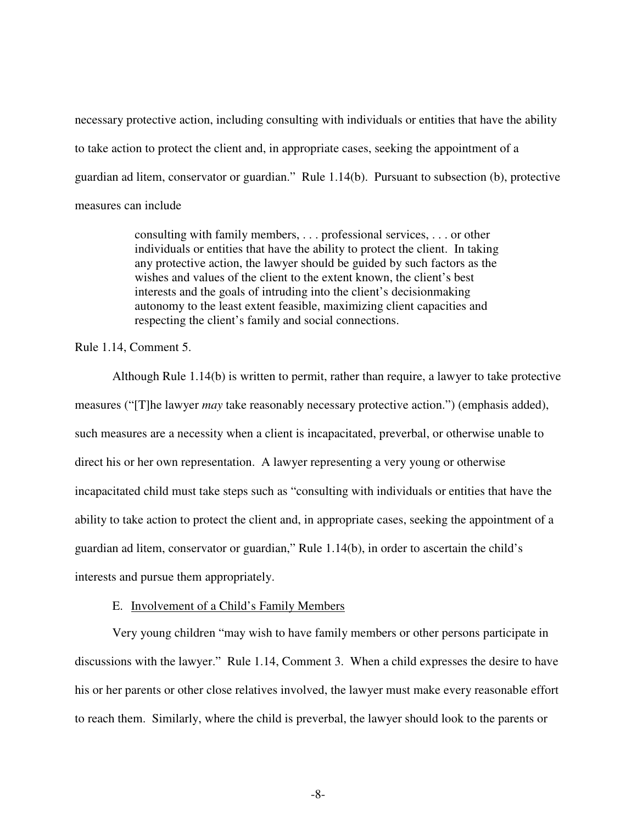necessary protective action, including consulting with individuals or entities that have the ability to take action to protect the client and, in appropriate cases, seeking the appointment of a guardian ad litem, conservator or guardian." Rule 1.14(b). Pursuant to subsection (b), protective measures can include

> consulting with family members, . . . professional services, . . . or other individuals or entities that have the ability to protect the client. In taking any protective action, the lawyer should be guided by such factors as the wishes and values of the client to the extent known, the client's best interests and the goals of intruding into the client's decisionmaking autonomy to the least extent feasible, maximizing client capacities and respecting the client's family and social connections.

Rule 1.14, Comment 5.

Although Rule 1.14(b) is written to permit, rather than require, a lawyer to take protective measures ("[T]he lawyer *may* take reasonably necessary protective action.") (emphasis added), such measures are a necessity when a client is incapacitated, preverbal, or otherwise unable to direct his or her own representation. A lawyer representing a very young or otherwise incapacitated child must take steps such as "consulting with individuals or entities that have the ability to take action to protect the client and, in appropriate cases, seeking the appointment of a guardian ad litem, conservator or guardian," Rule 1.14(b), in order to ascertain the child's interests and pursue them appropriately.

## E. Involvement of a Child's Family Members

Very young children "may wish to have family members or other persons participate in discussions with the lawyer." Rule 1.14, Comment 3. When a child expresses the desire to have his or her parents or other close relatives involved, the lawyer must make every reasonable effort to reach them. Similarly, where the child is preverbal, the lawyer should look to the parents or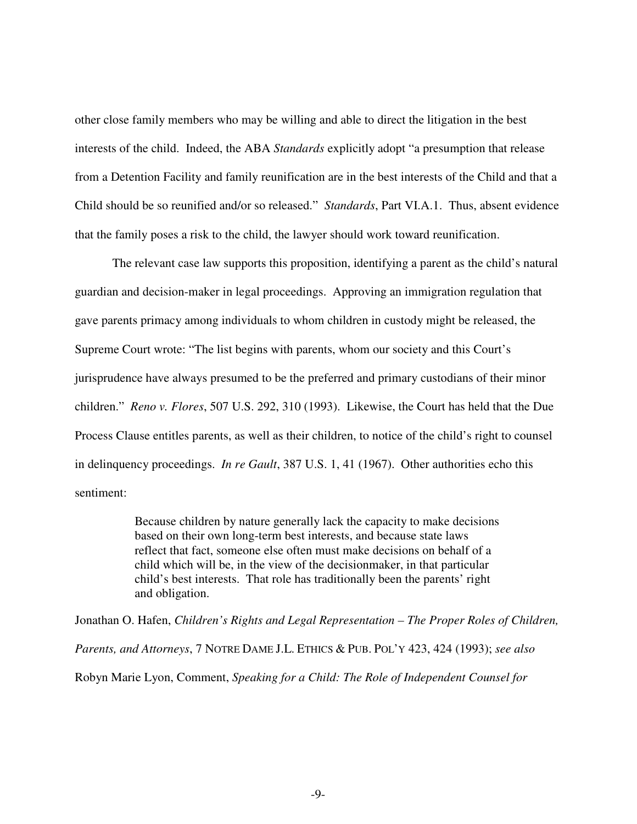other close family members who may be willing and able to direct the litigation in the best interests of the child. Indeed, the ABA *Standards* explicitly adopt "a presumption that release from a Detention Facility and family reunification are in the best interests of the Child and that a Child should be so reunified and/or so released." *Standards*, Part VI.A.1. Thus, absent evidence that the family poses a risk to the child, the lawyer should work toward reunification.

The relevant case law supports this proposition, identifying a parent as the child's natural guardian and decision-maker in legal proceedings. Approving an immigration regulation that gave parents primacy among individuals to whom children in custody might be released, the Supreme Court wrote: "The list begins with parents, whom our society and this Court's jurisprudence have always presumed to be the preferred and primary custodians of their minor children." *Reno v. Flores*, 507 U.S. 292, 310 (1993). Likewise, the Court has held that the Due Process Clause entitles parents, as well as their children, to notice of the child's right to counsel in delinquency proceedings. *In re Gault*, 387 U.S. 1, 41 (1967). Other authorities echo this sentiment:

> Because children by nature generally lack the capacity to make decisions based on their own long-term best interests, and because state laws reflect that fact, someone else often must make decisions on behalf of a child which will be, in the view of the decisionmaker, in that particular child's best interests. That role has traditionally been the parents' right and obligation.

Jonathan O. Hafen, *Children's Rights and Legal Representation – The Proper Roles of Children, Parents, and Attorneys*, 7 NOTRE DAME J.L. ETHICS & PUB. POL'Y 423, 424 (1993); *see also* Robyn Marie Lyon, Comment, *Speaking for a Child: The Role of Independent Counsel for* 

-9-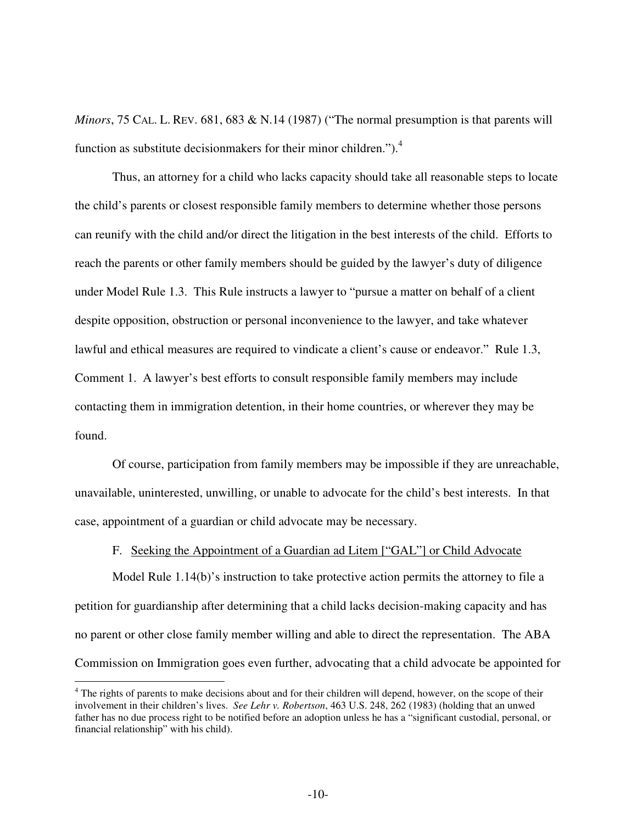*Minors*, 75 CAL. L. REV. 681, 683 & N.14 (1987) ("The normal presumption is that parents will function as substitute decision makers for their minor children."). $4$ 

Thus, an attorney for a child who lacks capacity should take all reasonable steps to locate the child's parents or closest responsible family members to determine whether those persons can reunify with the child and/or direct the litigation in the best interests of the child. Efforts to reach the parents or other family members should be guided by the lawyer's duty of diligence under Model Rule 1.3. This Rule instructs a lawyer to "pursue a matter on behalf of a client despite opposition, obstruction or personal inconvenience to the lawyer, and take whatever lawful and ethical measures are required to vindicate a client's cause or endeavor." Rule 1.3, Comment 1. A lawyer's best efforts to consult responsible family members may include contacting them in immigration detention, in their home countries, or wherever they may be found.

Of course, participation from family members may be impossible if they are unreachable, unavailable, uninterested, unwilling, or unable to advocate for the child's best interests. In that case, appointment of a guardian or child advocate may be necessary.

# F. Seeking the Appointment of a Guardian ad Litem ["GAL"] or Child Advocate

Model Rule 1.14(b)'s instruction to take protective action permits the attorney to file a petition for guardianship after determining that a child lacks decision-making capacity and has no parent or other close family member willing and able to direct the representation. The ABA Commission on Immigration goes even further, advocating that a child advocate be appointed for

 $\overline{a}$ 

<sup>&</sup>lt;sup>4</sup> The rights of parents to make decisions about and for their children will depend, however, on the scope of their involvement in their children's lives. *See Lehr v. Robertson*, 463 U.S. 248, 262 (1983) (holding that an unwed father has no due process right to be notified before an adoption unless he has a "significant custodial, personal, or financial relationship" with his child).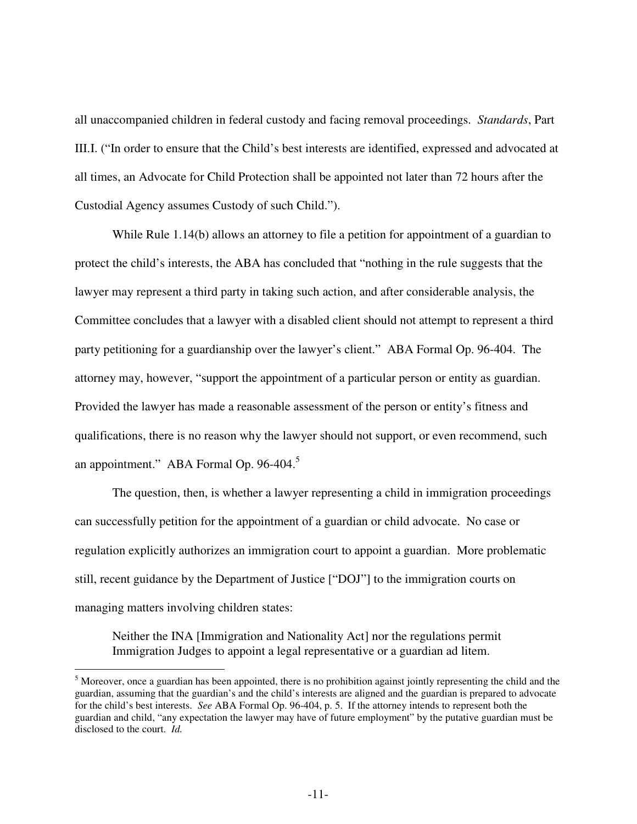all unaccompanied children in federal custody and facing removal proceedings. *Standards*, Part III.I. ("In order to ensure that the Child's best interests are identified, expressed and advocated at all times, an Advocate for Child Protection shall be appointed not later than 72 hours after the Custodial Agency assumes Custody of such Child.").

While Rule 1.14(b) allows an attorney to file a petition for appointment of a guardian to protect the child's interests, the ABA has concluded that "nothing in the rule suggests that the lawyer may represent a third party in taking such action, and after considerable analysis, the Committee concludes that a lawyer with a disabled client should not attempt to represent a third party petitioning for a guardianship over the lawyer's client." ABA Formal Op. 96-404. The attorney may, however, "support the appointment of a particular person or entity as guardian. Provided the lawyer has made a reasonable assessment of the person or entity's fitness and qualifications, there is no reason why the lawyer should not support, or even recommend, such an appointment." ABA Formal Op. 96-404.<sup>5</sup>

The question, then, is whether a lawyer representing a child in immigration proceedings can successfully petition for the appointment of a guardian or child advocate. No case or regulation explicitly authorizes an immigration court to appoint a guardian. More problematic still, recent guidance by the Department of Justice ["DOJ"] to the immigration courts on managing matters involving children states:

Neither the INA [Immigration and Nationality Act] nor the regulations permit Immigration Judges to appoint a legal representative or a guardian ad litem.

-

 $<sup>5</sup>$  Moreover, once a guardian has been appointed, there is no prohibition against jointly representing the child and the</sup> guardian, assuming that the guardian's and the child's interests are aligned and the guardian is prepared to advocate for the child's best interests. *See* ABA Formal Op. 96-404, p. 5. If the attorney intends to represent both the guardian and child, "any expectation the lawyer may have of future employment" by the putative guardian must be disclosed to the court. *Id.*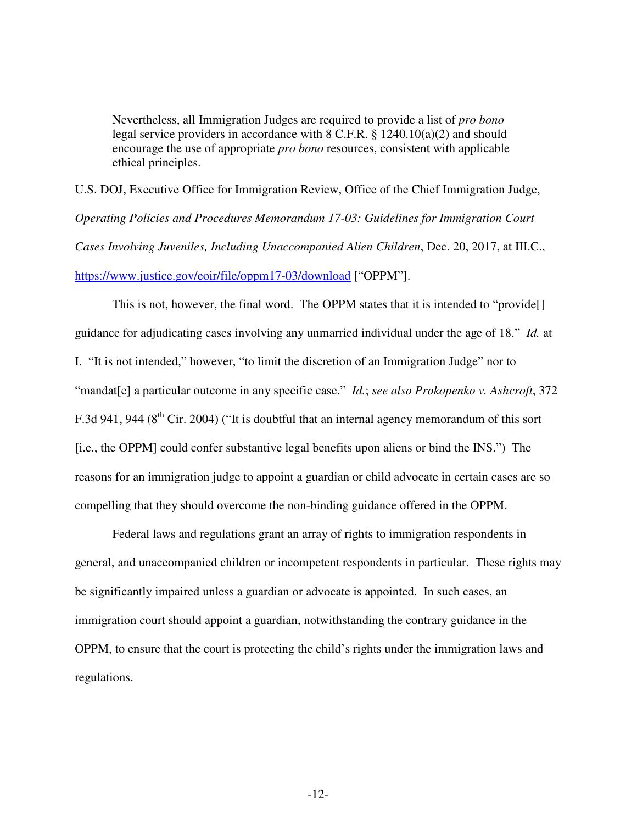Nevertheless, all Immigration Judges are required to provide a list of *pro bono* legal service providers in accordance with 8 C.F.R. § 1240.10(a)(2) and should encourage the use of appropriate *pro bono* resources, consistent with applicable ethical principles.

U.S. DOJ, Executive Office for Immigration Review, Office of the Chief Immigration Judge, *Operating Policies and Procedures Memorandum 17-03: Guidelines for Immigration Court Cases Involving Juveniles, Including Unaccompanied Alien Children*, Dec. 20, 2017, at III.C., https://www.justice.gov/eoir/file/oppm17-03/download ["OPPM"].

This is not, however, the final word. The OPPM states that it is intended to "provide[] guidance for adjudicating cases involving any unmarried individual under the age of 18." *Id.* at I. "It is not intended," however, "to limit the discretion of an Immigration Judge" nor to "mandat[e] a particular outcome in any specific case." *Id.*; *see also Prokopenko v. Ashcroft*, 372 F.3d 941, 944 ( $8<sup>th</sup>$  Cir. 2004) ("It is doubtful that an internal agency memorandum of this sort [i.e., the OPPM] could confer substantive legal benefits upon aliens or bind the INS.") The reasons for an immigration judge to appoint a guardian or child advocate in certain cases are so compelling that they should overcome the non-binding guidance offered in the OPPM.

Federal laws and regulations grant an array of rights to immigration respondents in general, and unaccompanied children or incompetent respondents in particular. These rights may be significantly impaired unless a guardian or advocate is appointed. In such cases, an immigration court should appoint a guardian, notwithstanding the contrary guidance in the OPPM, to ensure that the court is protecting the child's rights under the immigration laws and regulations.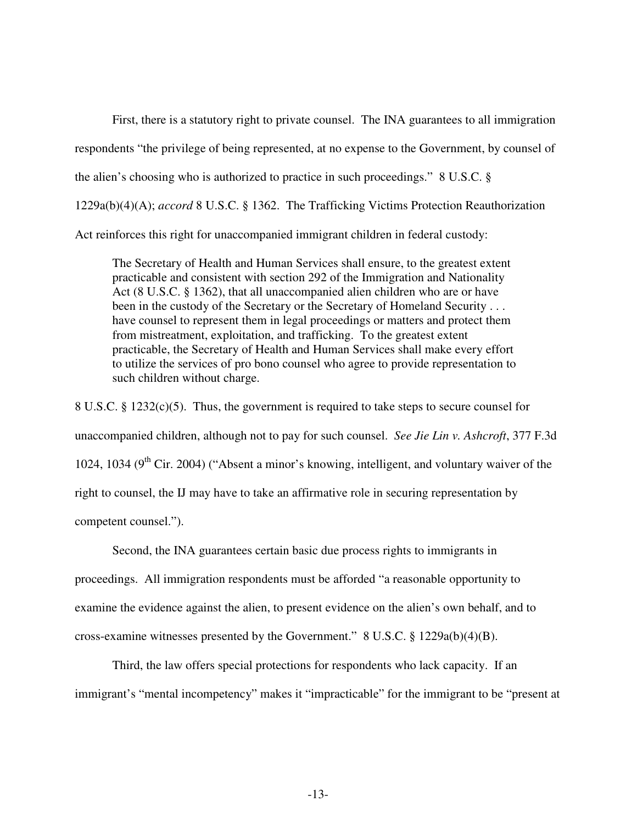First, there is a statutory right to private counsel. The INA guarantees to all immigration respondents "the privilege of being represented, at no expense to the Government, by counsel of the alien's choosing who is authorized to practice in such proceedings." 8 U.S.C. § 1229a(b)(4)(A); *accord* 8 U.S.C. § 1362. The Trafficking Victims Protection Reauthorization Act reinforces this right for unaccompanied immigrant children in federal custody:

The Secretary of Health and Human Services shall ensure, to the greatest extent practicable and consistent with section 292 of the Immigration and Nationality Act (8 U.S.C. § 1362), that all unaccompanied alien children who are or have been in the custody of the Secretary or the Secretary of Homeland Security . . . have counsel to represent them in legal proceedings or matters and protect them from mistreatment, exploitation, and trafficking. To the greatest extent practicable, the Secretary of Health and Human Services shall make every effort to utilize the services of pro bono counsel who agree to provide representation to such children without charge.

8 U.S.C. § 1232(c)(5). Thus, the government is required to take steps to secure counsel for unaccompanied children, although not to pay for such counsel. *See Jie Lin v. Ashcroft*, 377 F.3d 1024, 1034 ( $9<sup>th</sup>$  Cir. 2004) ("Absent a minor's knowing, intelligent, and voluntary waiver of the right to counsel, the IJ may have to take an affirmative role in securing representation by competent counsel.").

Second, the INA guarantees certain basic due process rights to immigrants in proceedings. All immigration respondents must be afforded "a reasonable opportunity to examine the evidence against the alien, to present evidence on the alien's own behalf, and to cross-examine witnesses presented by the Government." 8 U.S.C. § 1229a(b)(4)(B).

Third, the law offers special protections for respondents who lack capacity. If an immigrant's "mental incompetency" makes it "impracticable" for the immigrant to be "present at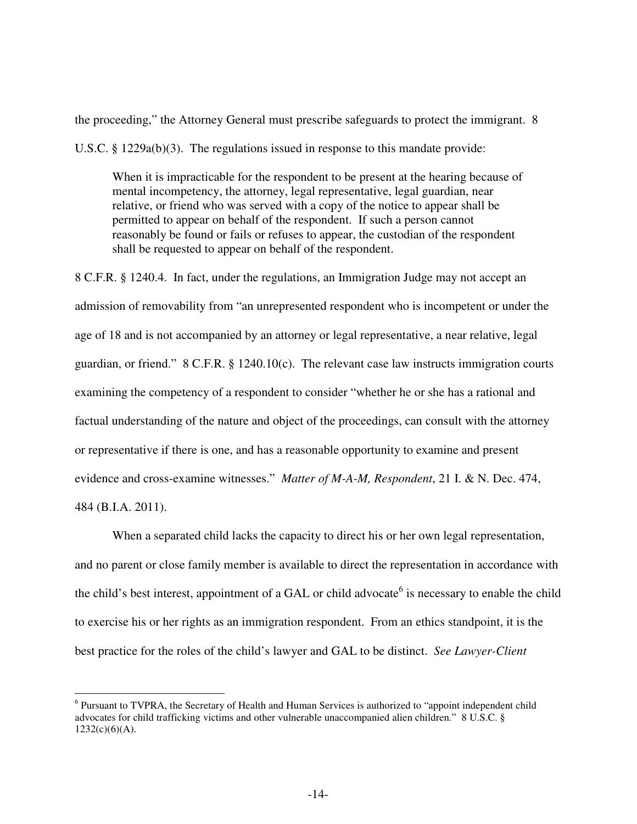the proceeding," the Attorney General must prescribe safeguards to protect the immigrant. 8

U.S.C. § 1229a(b)(3). The regulations issued in response to this mandate provide:

When it is impracticable for the respondent to be present at the hearing because of mental incompetency, the attorney, legal representative, legal guardian, near relative, or friend who was served with a copy of the notice to appear shall be permitted to appear on behalf of the respondent. If such a person cannot reasonably be found or fails or refuses to appear, the custodian of the respondent shall be requested to appear on behalf of the respondent.

8 C.F.R. § 1240.4. In fact, under the regulations, an Immigration Judge may not accept an admission of removability from "an unrepresented respondent who is incompetent or under the age of 18 and is not accompanied by an attorney or legal representative, a near relative, legal guardian, or friend." 8 C.F.R. § 1240.10(c). The relevant case law instructs immigration courts examining the competency of a respondent to consider "whether he or she has a rational and factual understanding of the nature and object of the proceedings, can consult with the attorney or representative if there is one, and has a reasonable opportunity to examine and present evidence and cross-examine witnesses." *Matter of M-A-M, Respondent*, 21 I. & N. Dec. 474, 484 (B.I.A. 2011).

When a separated child lacks the capacity to direct his or her own legal representation, and no parent or close family member is available to direct the representation in accordance with the child's best interest, appointment of a GAL or child advocate<sup>6</sup> is necessary to enable the child to exercise his or her rights as an immigration respondent. From an ethics standpoint, it is the best practice for the roles of the child's lawyer and GAL to be distinct. *See Lawyer-Client* 

 $\overline{a}$ 

<sup>&</sup>lt;sup>6</sup> Pursuant to TVPRA, the Secretary of Health and Human Services is authorized to "appoint independent child advocates for child trafficking victims and other vulnerable unaccompanied alien children." 8 U.S.C. §  $1232(c)(6)(A)$ .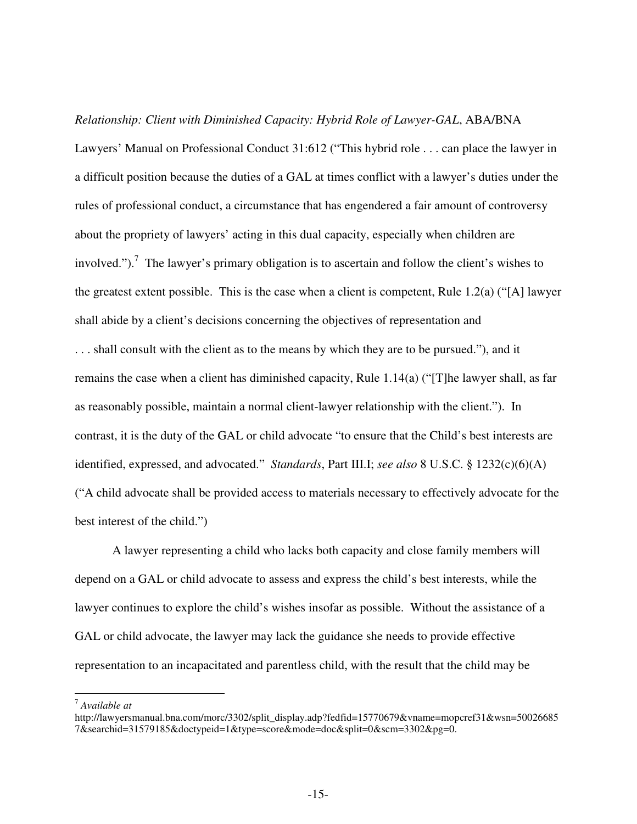#### *Relationship: Client with Diminished Capacity: Hybrid Role of Lawyer-GAL*, ABA/BNA

Lawyers' Manual on Professional Conduct 31:612 ("This hybrid role . . . can place the lawyer in a difficult position because the duties of a GAL at times conflict with a lawyer's duties under the rules of professional conduct, a circumstance that has engendered a fair amount of controversy about the propriety of lawyers' acting in this dual capacity, especially when children are involved.").<sup>7</sup> The lawyer's primary obligation is to ascertain and follow the client's wishes to the greatest extent possible. This is the case when a client is competent, Rule 1.2(a) ("[A] lawyer shall abide by a client's decisions concerning the objectives of representation and . . . shall consult with the client as to the means by which they are to be pursued."), and it remains the case when a client has diminished capacity, Rule 1.14(a) ("[T]he lawyer shall, as far as reasonably possible, maintain a normal client-lawyer relationship with the client."). In contrast, it is the duty of the GAL or child advocate "to ensure that the Child's best interests are identified, expressed, and advocated." *Standards*, Part III.I; *see also* 8 U.S.C. § 1232(c)(6)(A) ("A child advocate shall be provided access to materials necessary to effectively advocate for the best interest of the child.")

A lawyer representing a child who lacks both capacity and close family members will depend on a GAL or child advocate to assess and express the child's best interests, while the lawyer continues to explore the child's wishes insofar as possible. Without the assistance of a GAL or child advocate, the lawyer may lack the guidance she needs to provide effective representation to an incapacitated and parentless child, with the result that the child may be

-

<sup>7</sup> *Available at*

http://lawyersmanual.bna.com/morc/3302/split\_display.adp?fedfid=15770679&vname=mopcref31&wsn=50026685 7&searchid=31579185&doctypeid=1&type=score&mode=doc&split=0&scm=3302&pg=0.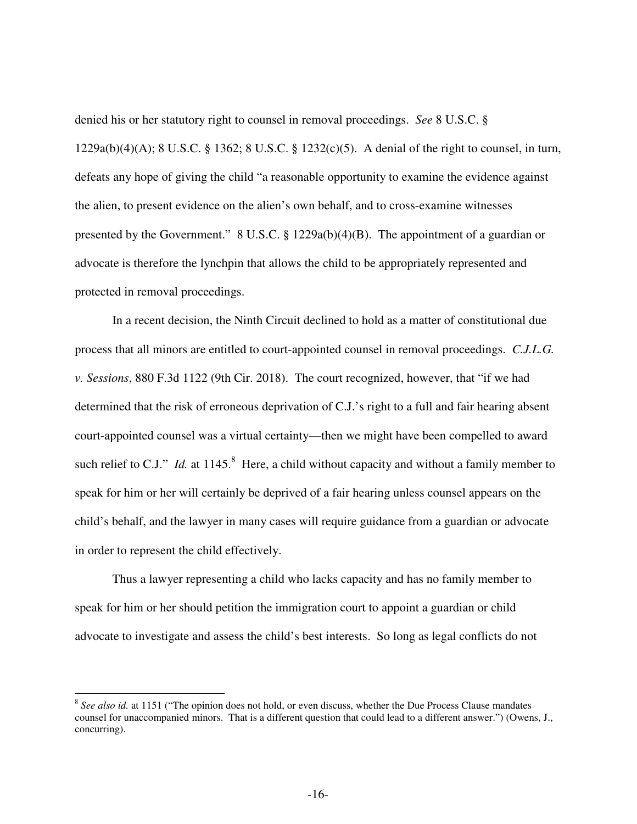denied his or her statutory right to counsel in removal proceedings. *See* 8 U.S.C. § 1229a(b)(4)(A); 8 U.S.C. § 1362; 8 U.S.C. § 1232(c)(5). A denial of the right to counsel, in turn, defeats any hope of giving the child "a reasonable opportunity to examine the evidence against the alien, to present evidence on the alien's own behalf, and to cross-examine witnesses presented by the Government." 8 U.S.C. § 1229a(b)(4)(B). The appointment of a guardian or advocate is therefore the lynchpin that allows the child to be appropriately represented and protected in removal proceedings.

In a recent decision, the Ninth Circuit declined to hold as a matter of constitutional due process that all minors are entitled to court-appointed counsel in removal proceedings. *C.J.L.G. v. Sessions*, 880 F.3d 1122 (9th Cir. 2018). The court recognized, however, that "if we had determined that the risk of erroneous deprivation of C.J.'s right to a full and fair hearing absent court-appointed counsel was a virtual certainty—then we might have been compelled to award such relief to C.J." *Id.* at  $1145$ .<sup>8</sup> Here, a child without capacity and without a family member to speak for him or her will certainly be deprived of a fair hearing unless counsel appears on the child's behalf, and the lawyer in many cases will require guidance from a guardian or advocate in order to represent the child effectively.

Thus a lawyer representing a child who lacks capacity and has no family member to speak for him or her should petition the immigration court to appoint a guardian or child advocate to investigate and assess the child's best interests. So long as legal conflicts do not

 $\overline{a}$ 

<sup>&</sup>lt;sup>8</sup> See also id. at 1151 ("The opinion does not hold, or even discuss, whether the Due Process Clause mandates counsel for unaccompanied minors. That is a different question that could lead to a different answer.") (Owens, J., concurring).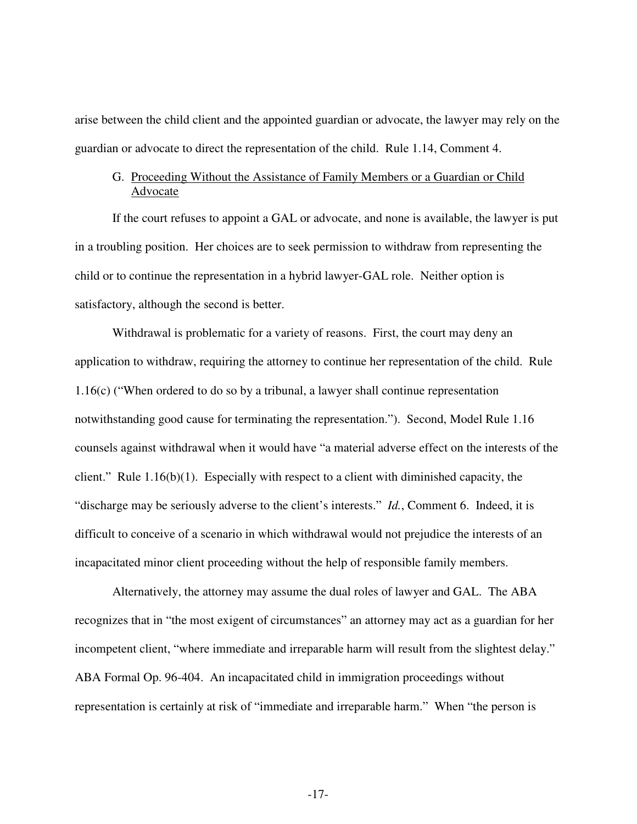arise between the child client and the appointed guardian or advocate, the lawyer may rely on the guardian or advocate to direct the representation of the child. Rule 1.14, Comment 4.

# G. Proceeding Without the Assistance of Family Members or a Guardian or Child Advocate

If the court refuses to appoint a GAL or advocate, and none is available, the lawyer is put in a troubling position. Her choices are to seek permission to withdraw from representing the child or to continue the representation in a hybrid lawyer-GAL role. Neither option is satisfactory, although the second is better.

Withdrawal is problematic for a variety of reasons. First, the court may deny an application to withdraw, requiring the attorney to continue her representation of the child. Rule 1.16(c) ("When ordered to do so by a tribunal, a lawyer shall continue representation notwithstanding good cause for terminating the representation."). Second, Model Rule 1.16 counsels against withdrawal when it would have "a material adverse effect on the interests of the client." Rule 1.16(b)(1). Especially with respect to a client with diminished capacity, the "discharge may be seriously adverse to the client's interests." *Id.*, Comment 6. Indeed, it is difficult to conceive of a scenario in which withdrawal would not prejudice the interests of an incapacitated minor client proceeding without the help of responsible family members.

Alternatively, the attorney may assume the dual roles of lawyer and GAL. The ABA recognizes that in "the most exigent of circumstances" an attorney may act as a guardian for her incompetent client, "where immediate and irreparable harm will result from the slightest delay." ABA Formal Op. 96-404. An incapacitated child in immigration proceedings without representation is certainly at risk of "immediate and irreparable harm." When "the person is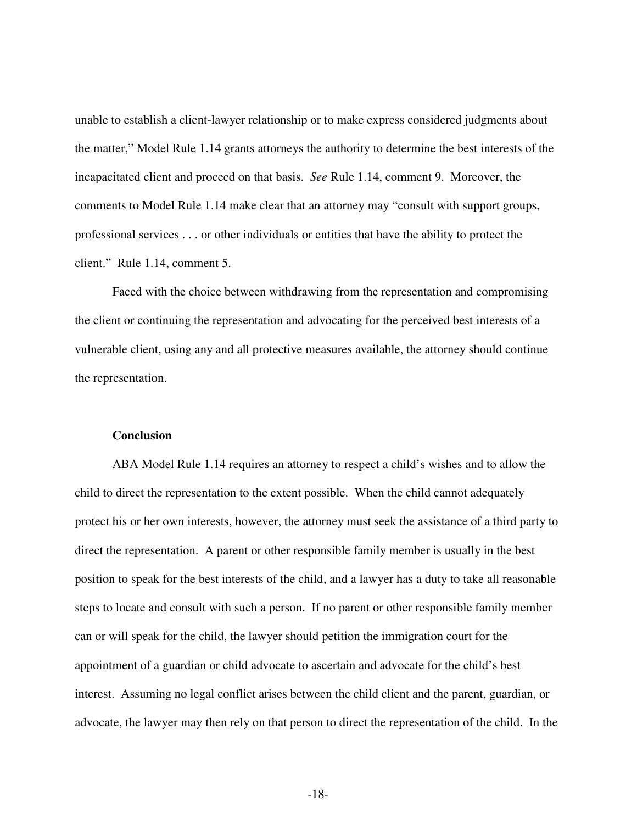unable to establish a client-lawyer relationship or to make express considered judgments about the matter," Model Rule 1.14 grants attorneys the authority to determine the best interests of the incapacitated client and proceed on that basis. *See* Rule 1.14, comment 9. Moreover, the comments to Model Rule 1.14 make clear that an attorney may "consult with support groups, professional services . . . or other individuals or entities that have the ability to protect the client." Rule 1.14, comment 5.

Faced with the choice between withdrawing from the representation and compromising the client or continuing the representation and advocating for the perceived best interests of a vulnerable client, using any and all protective measures available, the attorney should continue the representation.

## **Conclusion**

ABA Model Rule 1.14 requires an attorney to respect a child's wishes and to allow the child to direct the representation to the extent possible. When the child cannot adequately protect his or her own interests, however, the attorney must seek the assistance of a third party to direct the representation. A parent or other responsible family member is usually in the best position to speak for the best interests of the child, and a lawyer has a duty to take all reasonable steps to locate and consult with such a person. If no parent or other responsible family member can or will speak for the child, the lawyer should petition the immigration court for the appointment of a guardian or child advocate to ascertain and advocate for the child's best interest. Assuming no legal conflict arises between the child client and the parent, guardian, or advocate, the lawyer may then rely on that person to direct the representation of the child. In the